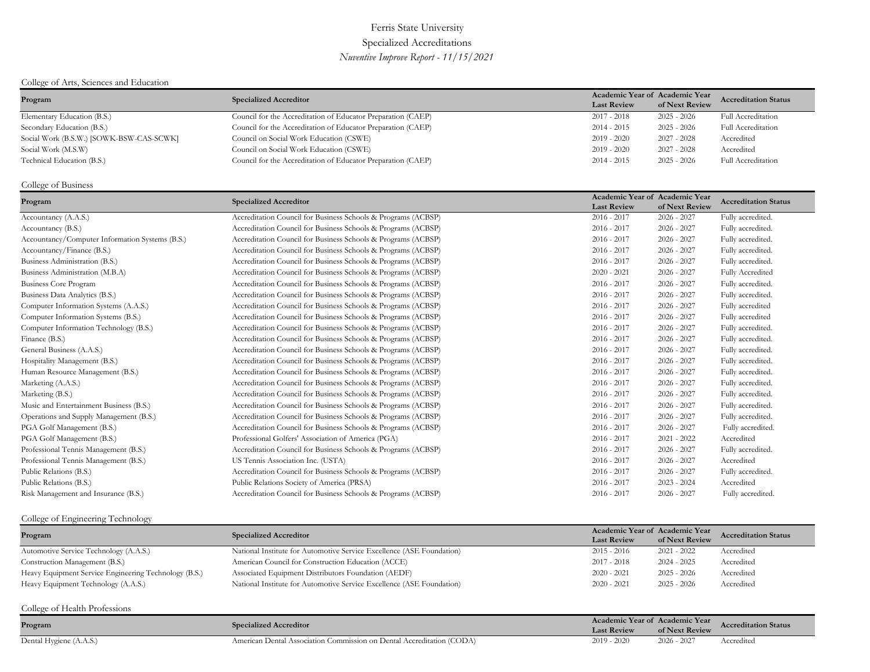# Ferris State University Specialized Accreditations *Nuventive Improve Report - 11/15/2021*

## College of Arts, Sciences and Education

| Program                                  | <b>Specialized Accreditor</b>                                | Academic Year of Academic Year |                | <b>Accreditation Status</b> |
|------------------------------------------|--------------------------------------------------------------|--------------------------------|----------------|-----------------------------|
|                                          |                                                              | <b>Last Review</b>             | of Next Review |                             |
| Elementary Education (B.S.)              | Council for the Accreditation of Educator Preparation (CAEP) | $2017 - 2018$                  | $2025 - 2026$  | <b>Full Accreditation</b>   |
| Secondary Education (B.S.)               | Council for the Accreditation of Educator Preparation (CAEP) | $2014 - 2015$                  | $2025 - 2026$  | Full Accreditation          |
| Social Work (B.S.W.) [SOWK-BSW-CAS-SCWK] | Council on Social Work Education (CSWE)                      | $2019 - 2020$                  | $2027 - 2028$  | Accredited                  |
| Social Work (M.S.W)                      | Council on Social Work Education (CSWE)                      | $2019 - 2020$                  | $2027 - 2028$  | Accredited                  |
| Technical Education (B.S.)               | Council for the Accreditation of Educator Preparation (CAEP) | $2014 - 2015$                  | $2025 - 2026$  | Full Accreditation          |

## College of Business

| Program                                         | <b>Specialized Accreditor</b>                                 | Academic Year of Academic Year<br><b>Last Review</b> | of Next Review | <b>Accreditation Status</b> |
|-------------------------------------------------|---------------------------------------------------------------|------------------------------------------------------|----------------|-----------------------------|
| Accountancy (A.A.S.)                            | Accreditation Council for Business Schools & Programs (ACBSP) | $2016 - 2017$                                        | $2026 - 2027$  | Fully accredited.           |
| Accountancy (B.S.)                              | Accreditation Council for Business Schools & Programs (ACBSP) | $2016 - 2017$                                        | $2026 - 2027$  | Fully accredited.           |
| Accountancy/Computer Information Systems (B.S.) | Accreditation Council for Business Schools & Programs (ACBSP) | $2016 - 2017$                                        | $2026 - 2027$  | Fully accredited.           |
| Accountancy/Finance (B.S.)                      | Accreditation Council for Business Schools & Programs (ACBSP) | $2016 - 2017$                                        | $2026 - 2027$  | Fully accredited.           |
| Business Administration (B.S.)                  | Accreditation Council for Business Schools & Programs (ACBSP) | $2016 - 2017$                                        | $2026 - 2027$  | Fully accredited.           |
| Business Administration (M.B.A)                 | Accreditation Council for Business Schools & Programs (ACBSP) | $2020 - 2021$                                        | $2026 - 2027$  | Fully Accredited            |
| <b>Business Core Program</b>                    | Accreditation Council for Business Schools & Programs (ACBSP) | $2016 - 2017$                                        | $2026 - 2027$  | Fully accredited.           |
| Business Data Analytics (B.S.)                  | Accreditation Council for Business Schools & Programs (ACBSP) | $2016 - 2017$                                        | $2026 - 2027$  | Fully accredited.           |
| Computer Information Systems (A.A.S.)           | Accreditation Council for Business Schools & Programs (ACBSP) | $2016 - 2017$                                        | $2026 - 2027$  | Fully accredited            |
| Computer Information Systems (B.S.)             | Accreditation Council for Business Schools & Programs (ACBSP) | $2016 - 2017$                                        | $2026 - 2027$  | Fully accredited            |
| Computer Information Technology (B.S.)          | Accreditation Council for Business Schools & Programs (ACBSP) | $2016 - 2017$                                        | $2026 - 2027$  | Fully accredited.           |
| Finance (B.S.)                                  | Accreditation Council for Business Schools & Programs (ACBSP) | $2016 - 2017$                                        | $2026 - 2027$  | Fully accredited.           |
| General Business (A.A.S.)                       | Accreditation Council for Business Schools & Programs (ACBSP) | $2016 - 2017$                                        | $2026 - 2027$  | Fully accredited.           |
| Hospitality Management (B.S.)                   | Accreditation Council for Business Schools & Programs (ACBSP) | $2016 - 2017$                                        | $2026 - 2027$  | Fully accredited.           |
| Human Resource Management (B.S.)                | Accreditation Council for Business Schools & Programs (ACBSP) | $2016 - 2017$                                        | $2026 - 2027$  | Fully accredited.           |
| Marketing (A.A.S.)                              | Accreditation Council for Business Schools & Programs (ACBSP) | $2016 - 2017$                                        | $2026 - 2027$  | Fully accredited.           |
| Marketing (B.S.)                                | Accreditation Council for Business Schools & Programs (ACBSP) | $2016 - 2017$                                        | $2026 - 2027$  | Fully accredited.           |
| Music and Entertainment Business (B.S.)         | Accreditation Council for Business Schools & Programs (ACBSP) | $2016 - 2017$                                        | $2026 - 2027$  | Fully accredited.           |
| Operations and Supply Management (B.S.)         | Accreditation Council for Business Schools & Programs (ACBSP) | $2016 - 2017$                                        | $2026 - 2027$  | Fully accredited.           |
| PGA Golf Management (B.S.)                      | Accreditation Council for Business Schools & Programs (ACBSP) | $2016 - 2017$                                        | $2026 - 2027$  | Fully accredited.           |
| PGA Golf Management (B.S.)                      | Professional Golfers' Association of America (PGA)            | $2016 - 2017$                                        | $2021 - 2022$  | Accredited                  |
| Professional Tennis Management (B.S.)           | Accreditation Council for Business Schools & Programs (ACBSP) | $2016 - 2017$                                        | $2026 - 2027$  | Fully accredited.           |
| Professional Tennis Management (B.S.)           | US Tennis Association Inc. (USTA)                             | $2016 - 2017$                                        | $2026 - 2027$  | Accredited                  |
| Public Relations (B.S.)                         | Accreditation Council for Business Schools & Programs (ACBSP) | $2016 - 2017$                                        | $2026 - 2027$  | Fully accredited.           |
| Public Relations (B.S.)                         | Public Relations Society of America (PRSA)                    | $2016 - 2017$                                        | $2023 - 2024$  | Accredited                  |
| Risk Management and Insurance (B.S.)            | Accreditation Council for Business Schools & Programs (ACBSP) | $2016 - 2017$                                        | $2026 - 2027$  | Fully accredited.           |

## College of Engineering Technology

| Program                                               | <b>Specialized Accreditor</b>                                         |                    | Academic Year of Academic Year | <b>Accreditation Status</b> |
|-------------------------------------------------------|-----------------------------------------------------------------------|--------------------|--------------------------------|-----------------------------|
|                                                       |                                                                       | <b>Last Review</b> | of Next Review                 |                             |
| Automotive Service Technology (A.A.S.)                | National Institute for Automotive Service Excellence (ASE Foundation) | $2015 - 2016$      | $2021 - 2022$                  | Accredited                  |
| Construction Management (B.S.)                        | American Council for Construction Education (ACCE)                    | $2017 - 2018$      | $2024 - 2025$                  | Accredited                  |
| Heavy Equipment Service Engineering Technology (B.S.) | Associated Equipment Distributors Foundation (AEDF)                   | $2020 - 2021$      | $2025 - 2026$                  | Accredited                  |
| Heavy Equipment Technology (A.A.S.)                   | National Institute for Automotive Service Excellence (ASE Foundation) | $2020 - 2021$      | 2025 - 2026                    | Accredited                  |
|                                                       |                                                                       |                    |                                |                             |
| College of Health Professions                         |                                                                       |                    |                                |                             |

| Program                     | cialized Accreditor:                                                                | Academic Year of Academic Year |                | creditation Status<br>Acc |
|-----------------------------|-------------------------------------------------------------------------------------|--------------------------------|----------------|---------------------------|
|                             |                                                                                     | ast Review                     | of Next Review |                           |
| Dental Hygiene (A.<br>.A.S. | (CODA)<br>Commission on<br>1 Dental<br>- Accreditation (<br>$1$ meric<br>Associatio | 2019<br>- 2020                 | $2026 - 2027$  | Accredited                |